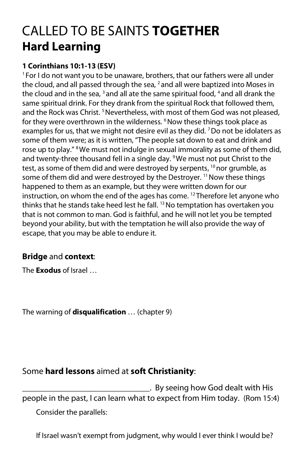## CALLED TO BE SAINTS **TOGETHER Hard Learning**

## **1 Corinthians 10:1-13 (ESV)**

 $1$  For I do not want you to be unaware, brothers, that our fathers were all under the cloud, and all passed through the sea,  $2$  and all were baptized into Moses in the cloud and in the sea,  $3$  and all ate the same spiritual food,  $4$  and all drank the same spiritual drink. For they drank from the spiritual Rock that followed them, and the Rock was Christ.<sup>5</sup> Nevertheless, with most of them God was not pleased, for they were overthrown in the wilderness. <sup>6</sup> Now these things took place as examples for us, that we might not desire evil as they did.  $7$  Do not be idolaters as some of them were; as it is written, "The people sat down to eat and drink and rose up to play." <sup>8</sup> We must not indulge in sexual immorality as some of them did, and twenty-three thousand fell in a single day. <sup>9</sup> We must not put Christ to the test, as some of them did and were destroyed by serpents, <sup>10</sup> nor grumble, as some of them did and were destroyed by the Destroyer. <sup>11</sup> Now these things happened to them as an example, but they were written down for our instruction, on whom the end of the ages has come. <sup>12</sup> Therefore let anyone who thinks that he stands take heed lest he fall.<sup>13</sup> No temptation has overtaken you that is not common to man. God is faithful, and he will not let you be tempted beyond your ability, but with the temptation he will also provide the way of escape, that you may be able to endure it.

## **Bridge** and **context**:

The **Exodus** of Israel …

The warning of **disqualification** … (chapter 9)

## Some **hard lessons** aimed at **soft Christianity**:

\_\_\_\_\_\_\_\_\_\_\_\_\_\_\_\_\_\_\_\_\_\_\_\_\_\_\_\_\_\_. By seeing how God dealt with His people in the past, I can learn what to expect from Him today. (Rom 15:4) Consider the parallels:

If Israel wasn't exempt from judgment, why would I ever think I would be?